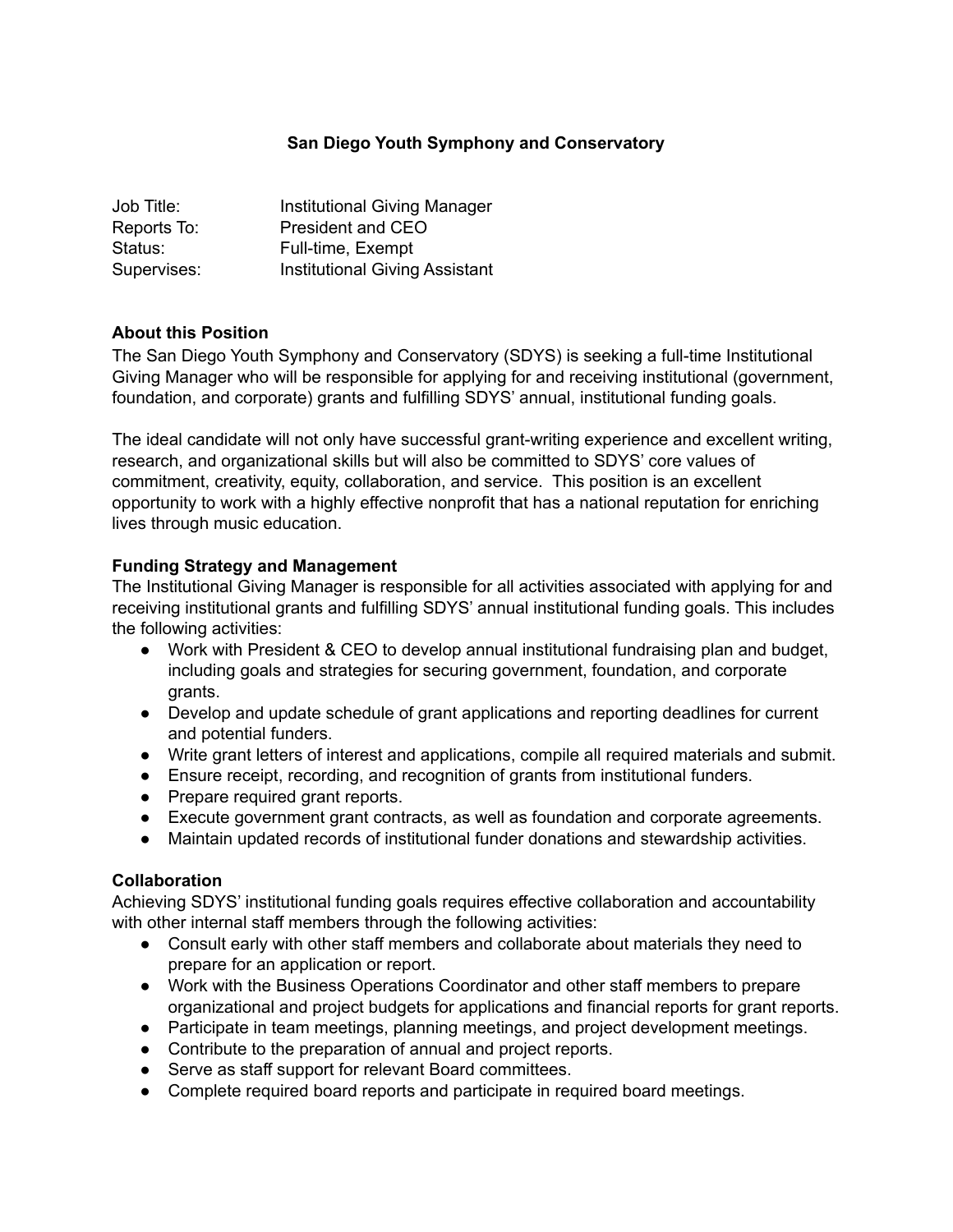## **San Diego Youth Symphony and Conservatory**

| Job Title:  | Institutional Giving Manager          |
|-------------|---------------------------------------|
| Reports To: | President and CEO                     |
| Status:     | Full-time, Exempt                     |
| Supervises: | <b>Institutional Giving Assistant</b> |

### **About this Position**

The San Diego Youth Symphony and Conservatory (SDYS) is seeking a full-time Institutional Giving Manager who will be responsible for applying for and receiving institutional (government, foundation, and corporate) grants and fulfilling SDYS' annual, institutional funding goals.

The ideal candidate will not only have successful grant-writing experience and excellent writing, research, and organizational skills but will also be committed to SDYS' core values of commitment, creativity, equity, collaboration, and service. This position is an excellent opportunity to work with a highly effective nonprofit that has a national reputation for enriching lives through music education.

### **Funding Strategy and Management**

The Institutional Giving Manager is responsible for all activities associated with applying for and receiving institutional grants and fulfilling SDYS' annual institutional funding goals. This includes the following activities:

- Work with President & CEO to develop annual institutional fundraising plan and budget, including goals and strategies for securing government, foundation, and corporate grants.
- Develop and update schedule of grant applications and reporting deadlines for current and potential funders.
- Write grant letters of interest and applications, compile all required materials and submit.
- Ensure receipt, recording, and recognition of grants from institutional funders.
- Prepare required grant reports.
- Execute government grant contracts, as well as foundation and corporate agreements.
- Maintain updated records of institutional funder donations and stewardship activities.

### **Collaboration**

Achieving SDYS' institutional funding goals requires effective collaboration and accountability with other internal staff members through the following activities:

- Consult early with other staff members and collaborate about materials they need to prepare for an application or report.
- Work with the Business Operations Coordinator and other staff members to prepare organizational and project budgets for applications and financial reports for grant reports.
- Participate in team meetings, planning meetings, and project development meetings.
- Contribute to the preparation of annual and project reports.
- Serve as staff support for relevant Board committees.
- Complete required board reports and participate in required board meetings.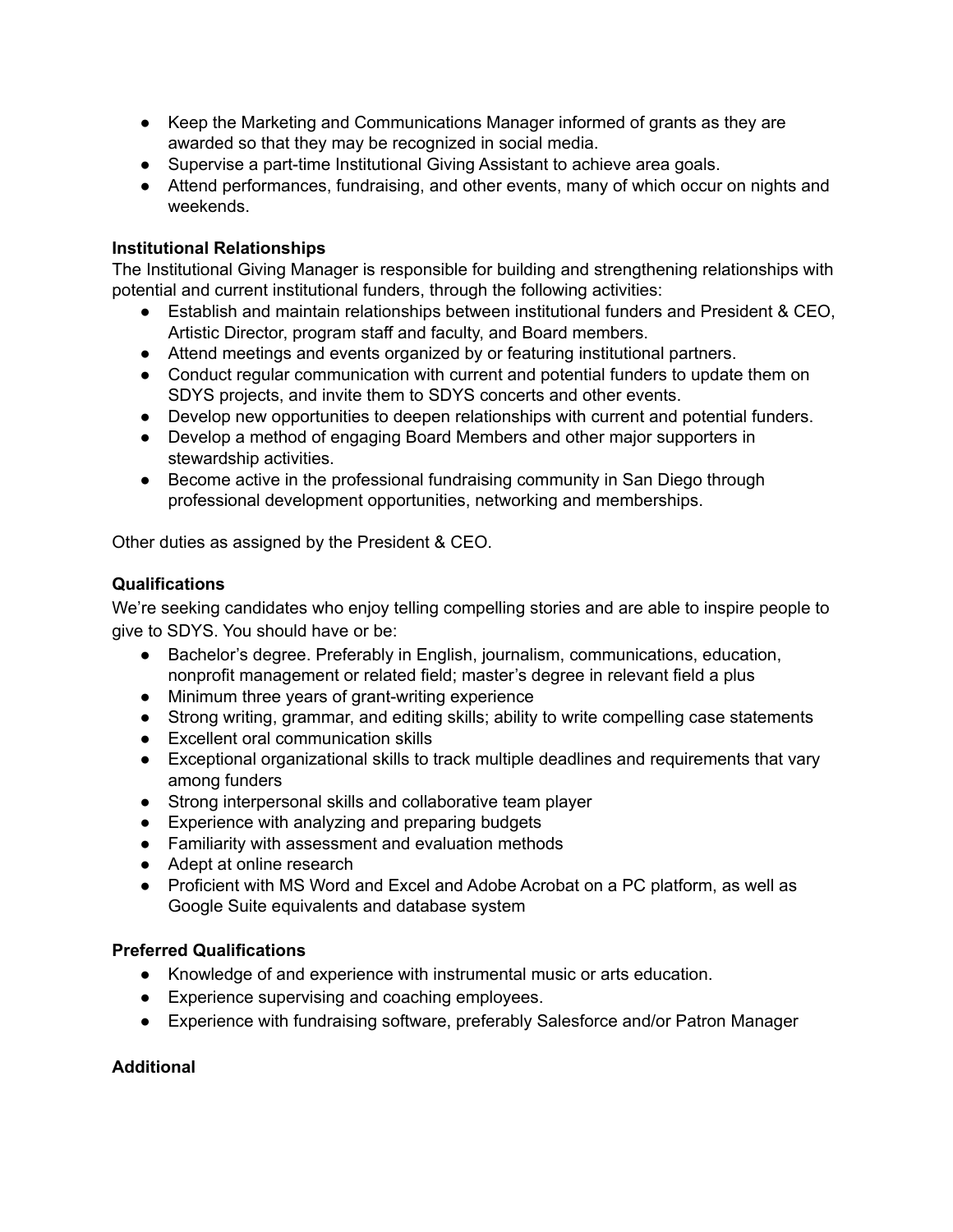- Keep the Marketing and Communications Manager informed of grants as they are awarded so that they may be recognized in social media.
- Supervise a part-time Institutional Giving Assistant to achieve area goals.
- Attend performances, fundraising, and other events, many of which occur on nights and weekends.

## **Institutional Relationships**

The Institutional Giving Manager is responsible for building and strengthening relationships with potential and current institutional funders, through the following activities:

- Establish and maintain relationships between institutional funders and President & CEO, Artistic Director, program staff and faculty, and Board members.
- Attend meetings and events organized by or featuring institutional partners.
- Conduct regular communication with current and potential funders to update them on SDYS projects, and invite them to SDYS concerts and other events.
- Develop new opportunities to deepen relationships with current and potential funders.
- Develop a method of engaging Board Members and other major supporters in stewardship activities.
- Become active in the professional fundraising community in San Diego through professional development opportunities, networking and memberships.

Other duties as assigned by the President & CEO.

## **Qualifications**

We're seeking candidates who enjoy telling compelling stories and are able to inspire people to give to SDYS. You should have or be:

- Bachelor's degree. Preferably in English, journalism, communications, education, nonprofit management or related field; master's degree in relevant field a plus
- Minimum three years of grant-writing experience
- Strong writing, grammar, and editing skills; ability to write compelling case statements
- Excellent oral communication skills
- Exceptional organizational skills to track multiple deadlines and requirements that vary among funders
- Strong interpersonal skills and collaborative team player
- Experience with analyzing and preparing budgets
- Familiarity with assessment and evaluation methods
- Adept at online research
- Proficient with MS Word and Excel and Adobe Acrobat on a PC platform, as well as Google Suite equivalents and database system

### **Preferred Qualifications**

- Knowledge of and experience with instrumental music or arts education.
- Experience supervising and coaching employees.
- Experience with fundraising software, preferably Salesforce and/or Patron Manager

# **Additional**